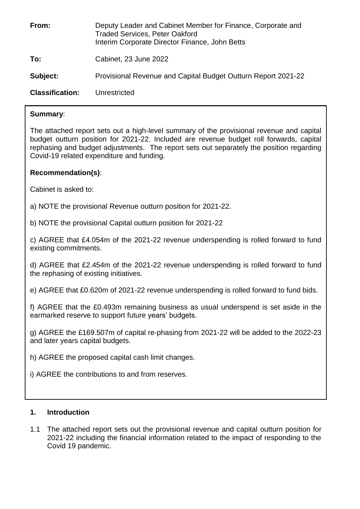| From:                  | Deputy Leader and Cabinet Member for Finance, Corporate and<br><b>Traded Services, Peter Oakford</b><br>Interim Corporate Director Finance, John Betts |
|------------------------|--------------------------------------------------------------------------------------------------------------------------------------------------------|
| To:                    | Cabinet, 23 June 2022                                                                                                                                  |
| Subject:               | Provisional Revenue and Capital Budget Outturn Report 2021-22                                                                                          |
| <b>Classification:</b> | Unrestricted                                                                                                                                           |

### **Summary**:

The attached report sets out a high-level summary of the provisional revenue and capital budget outturn position for 2021-22. Included are revenue budget roll forwards, capital rephasing and budget adjustments. The report sets out separately the position regarding Covid-19 related expenditure and funding.

### **Recommendation(s)**:

Cabinet is asked to:

a) NOTE the provisional Revenue outturn position for 2021-22.

b) NOTE the provisional Capital outturn position for 2021-22

c) AGREE that £4.054m of the 2021-22 revenue underspending is rolled forward to fund existing commitments.

d) AGREE that £2.454m of the 2021-22 revenue underspending is rolled forward to fund the rephasing of existing initiatives.

e) AGREE that £0.620m of 2021-22 revenue underspending is rolled forward to fund bids.

f) AGREE that the £0.493m remaining business as usual underspend is set aside in the earmarked reserve to support future years' budgets.

g) AGREE the £169.507m of capital re‐phasing from 2021-22 will be added to the 2022-23 and later years capital budgets.

h) AGREE the proposed capital cash limit changes.

i) AGREE the contributions to and from reserves.

# **1. Introduction**

1.1 The attached report sets out the provisional revenue and capital outturn position for 2021-22 including the financial information related to the impact of responding to the Covid 19 pandemic.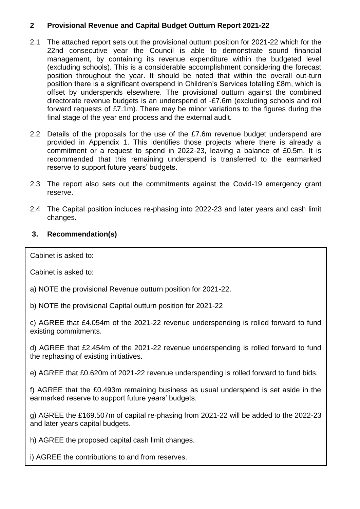# **2 Provisional Revenue and Capital Budget Outturn Report 2021-22**

- 2.1 The attached report sets out the provisional outturn position for 2021-22 which for the 22nd consecutive year the Council is able to demonstrate sound financial management, by containing its revenue expenditure within the budgeted level (excluding schools). This is a considerable accomplishment considering the forecast position throughout the year. It should be noted that within the overall out-turn position there is a significant overspend in Children's Services totalling £8m, which is offset by underspends elsewhere. The provisional outturn against the combined directorate revenue budgets is an underspend of -£7.6m (excluding schools and roll forward requests of £7.1m). There may be minor variations to the figures during the final stage of the year end process and the external audit.
- 2.2 Details of the proposals for the use of the £7.6m revenue budget underspend are provided in Appendix 1. This identifies those projects where there is already a commitment or a request to spend in 2022-23, leaving a balance of £0.5m. It is recommended that this remaining underspend is transferred to the earmarked reserve to support future years' budgets.
- 2.3 The report also sets out the commitments against the Covid-19 emergency grant reserve.
- 2.4 The Capital position includes re-phasing into 2022-23 and later years and cash limit changes.

#### **3. Recommendation(s)**

Cabinet is asked to:

Cabinet is asked to:

- a) NOTE the provisional Revenue outturn position for 2021-22.
- b) NOTE the provisional Capital outturn position for 2021-22

c) AGREE that £4.054m of the 2021-22 revenue underspending is rolled forward to fund existing commitments.

d) AGREE that £2.454m of the 2021-22 revenue underspending is rolled forward to fund the rephasing of existing initiatives.

e) AGREE that £0.620m of 2021-22 revenue underspending is rolled forward to fund bids.

f) AGREE that the £0.493m remaining business as usual underspend is set aside in the earmarked reserve to support future years' budgets.

g) AGREE the £169.507m of capital re‐phasing from 2021-22 will be added to the 2022-23 and later years capital budgets.

h) AGREE the proposed capital cash limit changes.

i) AGREE the contributions to and from reserves.